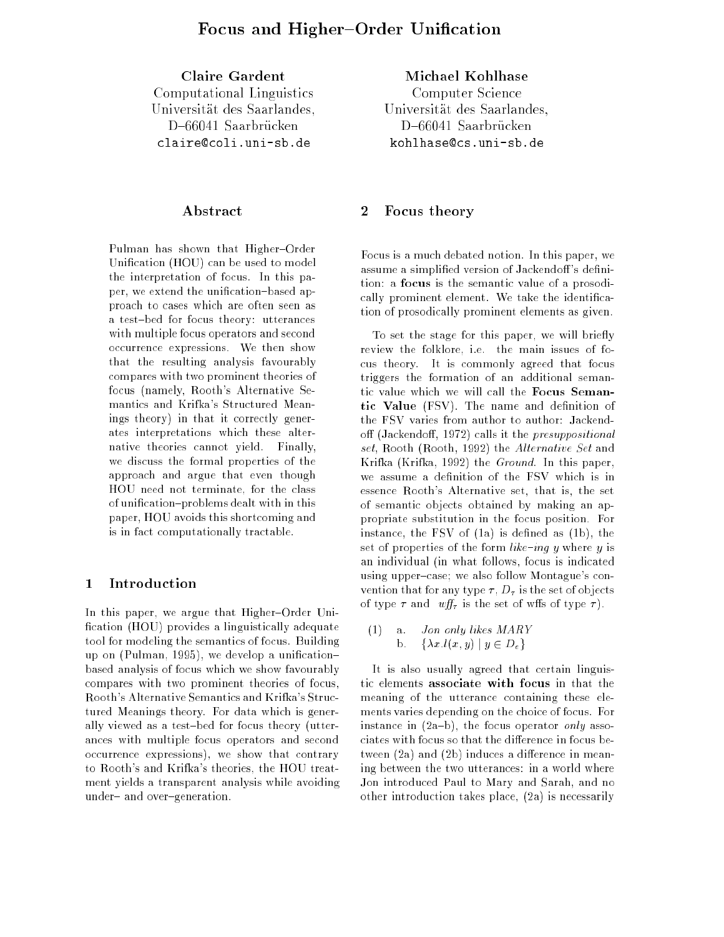Claire Gardent Computation Line Line Line Computations Universitat des Saarlandes,D{66041 Saarbrucken claire@coli.uni-sb.de

# Abstract

Pulman has shown that Higher-Order Unication (HOU) can be used to model the interpretation of focus. In this paper, we extend the unification-based approach to cases which are often seen as a test-bed for focus theory: utterances with multiple focus operators and second occurrence expressions. We then show that the resulting analysis favourably compares with two prominent theories of focus (namely, Rooth's Alternative Semantics and Krifka's Structured Meanings theory) in that it correctly generates interpretations which these alternative theories cannot yield. Finally, we discuss the formal properties of the approach and argue that even though HOU need not terminate, for the class of unification-problems dealt with in this paper, HOU avoids this shortcoming and is in fact computationally tractable.

## 1 Introduction

In this paper, we argue that Higher-Order Unification (HOU) provides a linguistically adequate tool for modeling the semantics of focus. Building up on (Pulman, 1995), we develop a unificationbased analysis of focus which we show favourably compares with two prominent theories of focus, Rooth's Alternative Semantics and Krifka's Structured Meanings theory. For data which is generally viewed as a test-bed for focus theory (utterances with multiple focus operators and second occurrence expressions), we show that contrary to Rooth's and Krifka's theories, the HOU treatment yields a transparent analysis while avoiding under and over-generation.

Michael Kohlhase Computer Science Universitat des Saarlandes,D{66041 Saarbrucken kohlhase@cs.uni-sb.de

## 2 Focus theory

Focus is a much debated notion. In this paper, we assume a simplified version of Jackendoff's definition: a focus is the semantic value of a prosodically prominent element. We take the identication of prosodically prominent elements as given.

To set the stage for this paper, we will briefly review the folklore, i.e. the main issues of focus theory. It is commonly agreed that focus triggers the formation of an additional semantic value which we will call the Focus Semantic Value (FSV). The name and definition of the FSV varies from author to author: Jackendoff (Jackendoff, 1972) calls it the *presuppositional* set, Rooth (Rooth, 1992) the Alternative Set and Krifka (Krifka, 1992) the Ground. In this paper, we assume a definition of the FSV which is in essence Rooth's Alternative set, that is, the set of semantic objects obtained by making an appropriate substitution in the focus position. For instance, the  $\text{FSV}$  of  $(1a)$  is defined as  $(1b)$ , the set of properties of the form  $like$ -ing y where y is an individual (in what follows, focus is indicated using upper-case; we also follow Montague's convention that for any type  $\tau$ ,  $D_{\tau}$  is the set of objects of type  $\tau$  and  $\omega f f_{\tau}$  is the set of wffs of type  $\tau$ ).

(1) a. *Jon only likes* 
$$
MARY
$$
  
b.  $\{\lambda x.l(x, y) | y \in D_e\}$ 

It is also usually agreed that certain linguistic elements associate with focus in that the meaning of the utterance containing these elements varies depending on the choice of focus. For instance in  $(2a-b)$ , the focus operator only associates with focus so that the difference in focus between  $(2a)$  and  $(2b)$  induces a difference in meaning between the two utterances: in a world where Jon introduced Paul to Mary and Sarah, and no other introduction takes place, (2a) is necessarily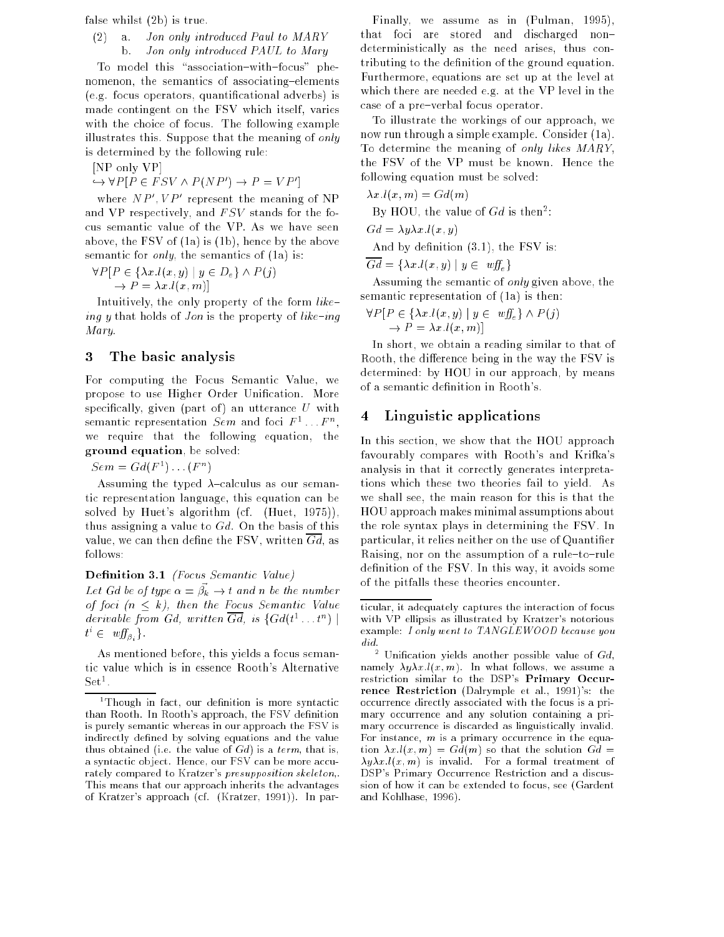false whilst (2b) is true.

# (2) a. Jon only introduced Paul to MARY b. Jon only introduced PAUL to Mary

To model this "association-with-focus" phenomenon, the semantics of associating-elements (e.g. focus operators, quanticational adverbs) is made contingent on the FSV which itself, varies with the choice of focus. The following example illustrates this. Suppose that the meaning of only is determined by the following rule:

[NP only VP]

 $\hookrightarrow \forall P[P \in FSV \wedge P(NP') \rightarrow P = VP']$ 

where  $NP', VP'$  represent the meaning of NP and VP respectively, and  $FSV$  stands for the focus semantic value of the VP. As we have seen above, the FSV of (1a) is (1b), hence by the above semantic for *only*, the semantics of (1a) is:

 $\forall P [P \in \{ \lambda x. l(x, y) \mid y \in D_e \} \land P (j)$  $\rightarrow P = \lambda x.l(x, m)$ 

Intuitively, the only property of the form  $like$ ing y that holds of *Jon* is the property of  $like$ -ing Mary.

# 3 The basic analysis

For computing the Focus Semantic Value, we propose to use Higher-Order Unification. More specifically, given (part of) an utterance  $U$  with semantic representation  $Sem$  and foci  $F^1 \dots F^n,$ we require that the following equation, the ground equation, be solved:

 $Sem = Gd(F^1) \dots (F^n)$ 

Assuming the typed  $\lambda$ -calculus as our semantic representation language, this equation can be solved by Huet's algorithm (cf. (Huet, 1975)), thus assigning a value to  $Gd$ . On the basis of this value, we can then define the FSV, written  $Gd$ , as follows:

Definition 3.1 (Focus Semantic Value)

Let Gd be of type  $\alpha = \vec{\beta_k} \rightarrow t$  and n be the number of foci  $(n \leq k)$ , then the Focus Semantic Value derivable from Gd, written Gd, is  $\{Gd(t^1, t^n) \mid$  $t^i \in \mathit{wf}_{\beta_i}$ .

As mentioned before, this yields a focus semantic value which is in essence Rooth's Alternative . . . . .

Finally, we assume as in (Pulman, 1995), that foci are stored and discharged nondeterministically as the need arises, thus contributing to the definition of the ground equation. Furthermore, equations are set up at the level at which there are needed e.g. at the VP level in the case of a pre-verbal focus operator.

To illustrate the workings of our approach, we now run through a simple example. Consider (1a). To determine the meaning of only likes MARY, the FSV of the VP must be known. Hence the following equation must be solved:

 $\lambda x.l(x, m) = Gd(m)$ By HOU, the value of  $Gd$  is then<sup>2</sup>:

 $Gd = \lambda y \lambda x.l(x, y)$ 

And by definition  $(3.1)$ , the FSV is:

 $\overline{Gd} = \{\lambda x. l(x, y) \mid y \in \mathit{wff}_{\varepsilon}\}\$ 

Assuming the semantic of only given above, the semantic representation of (1a) is then:

 $\forall P [P \in \{ \lambda x. l(x, y) \mid y \in \mathit{wff}_{\varepsilon} \} \wedge P (j)$  $\rightarrow P = \lambda x.l(x, m)$ 

In short, we obtain a reading similar to that of Rooth, the difference being in the way the FSV is determined: by HOU in our approach, by means of a semantic definition in Rooth's.

# 4 Linguistic applications

In this section, we show that the HOU approach favourably compares with Rooth's and Krifka's analysis in that it correctly generates interpretations which these two theories fail to yield. As we shall see, the main reason for this is that the HOU approach makes minimal assumptions about the role syntax plays in determining the FSV. In particular, it relies neither on the use of Quantifier Raising, nor on the assumption of a rule-to-rule definition of the FSV. In this way, it avoids some of the pitfalls these theories encounter.

<sup>1</sup> Though in fact, our denition is more syntactic than Rooth. In Rooth's approach, the FSV definition is purely semantic whereas in our approach the FSV is indirectly defined by solving equations and the value thus obtained (i.e. the value of  $Gd$ ) is a term, that is, a syntactic object. Hence, our FSV can be more accurately compared to Kratzer's presupposition skeleton,. This means that our approach inherits the advantages of Kratzer's approach (cf. (Kratzer, 1991)). In par-

ticular, it adequately captures the interaction of focus with VP ellipsis as illustrated by Kratzer's notorious example: I only went to TANGLEWOOD because you did.

 $\overline{\ }$  Unification yields another possible value of Gd, namely  $\lambda y \lambda x.l(x, m)$ . In what follows, we assume a restriction similar to the DSP's Primary Occurrence Restriction (Dalrymple et al., 1991)'s: the occurrence directly associated with the focus is a primary occurrence and any solution containing a primary occurrence is discarded as linguistically invalid. For instance,  $m$  is a primary occurrence in the equation  $\lambda x.l(x, m) = Gd(m)$  so that the solution  $Gd =$  $\lambda y \lambda x \cdot l(x, m)$  is invalid. For a formal treatment of DSP's Primary Occurrence Restriction and a discussion of how it can be extended to focus, see (Gardent and Kohlhase, 1996).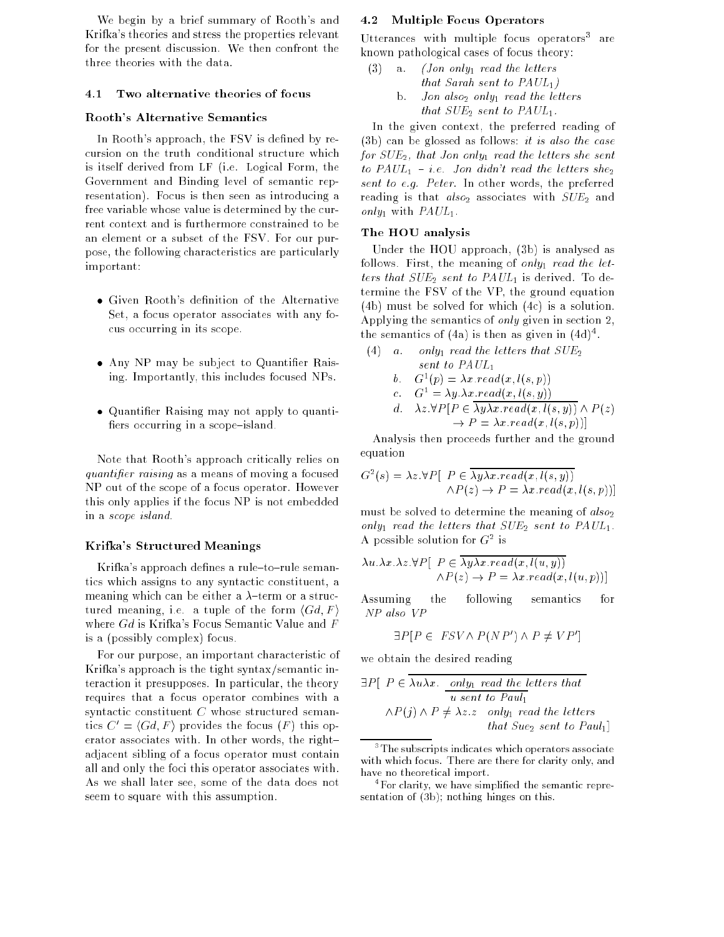We begin by a brief summary of Rooth's and Krifka's theories and stress the properties relevant for the present discussion. We then confront the three theories with the data.

#### Two alternative theories of focus  $4.1$

#### Rooth's Alternative Semantics

In Rooth's approach, the FSV is defined by recursion on the truth-conditional structure which is itself derived from LF (i.e. Logical Form, the Government and Binding level of semantic representation). Focus is then seen as introducing a free variable whose value is determined by the current context and is furthermore constrained to be an element or a subset of the FSV. For our purpose, the following characteristics are particularly important:

- Given Rooth's definition of the Alternative Set, a focus operator associates with any focus occurring in its scope.
- Any NP may be subject to Quantier Raising. Importantly, this includes focused NPs.
- Quantier Raising may not apply to quanti fiers occurring in a scope-island.

Note that Rooth's approach critically relies on quantifier raising as a means of moving a focused NP out of the scope of a focus operator. However this only applies if the focus NP is not embedded in a scope island.

#### Krifka's Structured Meanings

Krifka's approach defines a rule-to-rule semantics which assigns to any syntactic constituent, a meaning which can be either a  $\lambda$ -term or a structured meaning, i.e. a tuple of the form  $\langle Gd, F \rangle$ where Gd is Krifka's Focus Semantic Value and F is a (possibly complex) focus.

For our purpose, an important characteristic of Krifka's approach is the tight syntax/semantic interaction it presupposes. In particular, the theory requires that a focus operator combines with a syntactic constituent C whose structured semantics  $C' = \langle Gd, F \rangle$  provides the focus  $(F)$  this operator associates with. In other words, the right{ adjacent sibling of a focus operator must contain all and only the foci this operator associates with. As we shall later see, some of the data does not seem to square with this assumption.

#### 4.2 Multiple Focus Operators

Utterances with multiple focus operators are known pathological cases of focus theory:

(3) a. *(Jon only<sub>1</sub> read the letters* that Sarah sent to  $PAUL_1$ ) b. Jon also<sub>2</sub> only<sub>1</sub> read the letters that  $SUE_2$  sent to  $PAUL_1$ .

In the given context, the preferred reading of  $(3b)$  can be glossed as follows: it is also the case for  $SUE_2$ , that Jon only<sub>1</sub> read the letters she sent to  $PAUL_1$  - i.e. Jon didn't read the letters she<sub>2</sub> sent to e.g. Peter. In other words, the preferred reading is that  $also_2$  associates with  $SUE_2$  and only<sub>1</sub> with  $PAUL_1$ .

#### The HOU analysis

Under the HOU approach, (3b) is analysed as follows. First, the meaning of only<sub>1</sub> read the letters that  $SUE_2$  sent to  $PAUL_1$  is derived. To determine the FSV of the VP, the ground equation (4b) must be solved for which (4c) is a solution. Applying the semantics of only given in section 2, the semantics of (4a) is then as given in (4d) .

(4) a. only<sub>1</sub> read the letters that  $SUE<sub>2</sub>$ 

b. 
$$
G^1(p) = \lambda x \cdot read(x, l(s, p))
$$

c. 
$$
G^1 = \lambda y . \lambda x . read(x, l(s, y))
$$
  
d.  $\lambda z . \forall P[P \in \overline{\lambda y \lambda x . read(x, l(s, y))} \land P(z)$   
 $\rightarrow P = \lambda x . read(x, l(s, p))]$ 

Analysis then proceeds further and the ground equation

$$
G^{2}(s) = \lambda z \cdot \forall P \left[ P \in \overline{\lambda y \lambda x \cdot read(x, l(s, y))} \land P(z) \to P = \lambda x \cdot read(x, l(s, p)) \right]
$$

must be solved to determine the meaning of  $also_2$ only<sub>1</sub> read the letters that  $SUE_2$  sent to  $PAUL_1$ . A possible solution for  $G^2$  is

$$
\lambda u.\lambda x.\lambda z.\forall P[ \ P \in \overline{\lambda y \lambda x. read(x, l(u, y))}
$$

$$
\wedge P(z) \rightarrow P = \lambda x. read(x, l(u, p))]
$$

Assuming the following semantics for NP also VP

$$
\exists P[P \in FSV \land P(NP') \land P \neq VP']
$$

we obtain the desired reading

$$
\exists P \left[ P \in \overline{\lambda u \lambda x.} \underbrace{only_1 \text{ read the letters that}}_{u \text{ sent to Paul}_1} u \right]
$$
  
 
$$
\wedge P(j) \wedge P \neq \lambda z. z \quad only_1 \text{ read the letters} that Sue_2 \text{ sent to Paul}_1
$$

the subscripts indicates which operators associate  $\,$ with which focus. There are there for clarity only, and have no theoretical import.

<sup>4</sup> For clarity, we have simplied the semantic representation of (3b); nothing hinges on this.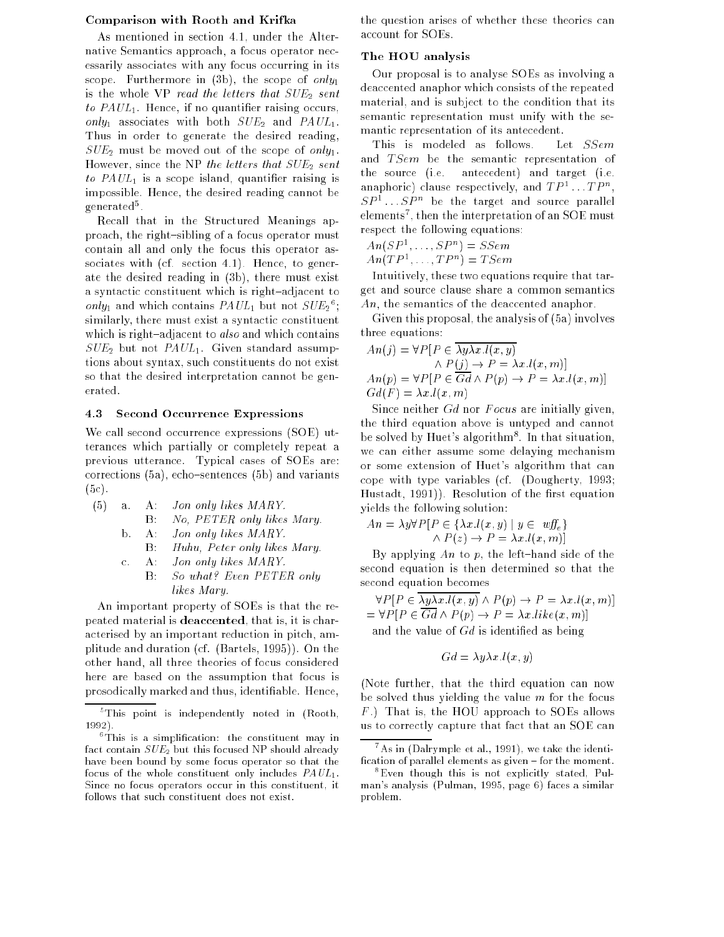#### Comparison with Rooth and Krifka

As mentioned in section 4.1, under the Alternative Semantics approach, a focus operator necessarily associates with any focus occurring in its scope. Furthermore in  $(3b)$ , the scope of only is the whole VP read the letters that  $SUE<sub>2</sub>$  sent to  $PAUL_1$ . Hence, if no quantifier raising occurs, only<sub>1</sub> associates with both  $SUE_2$  and  $PAUL_1$ . Thus in order to generate the desired reading,  $SUE_2$  must be moved out of the scope of only<sub>1</sub>. However, since the NP the letters that  $SUE_2$  sent to  $PAUL_1$  is a scope island, quantifier raising is impossible. Hence, the desired reading cannot be generated .

Recall that in the Structured Meanings approach, the right-sibling of a focus operator must contain all and only the focus this operator associates with (cf. section 4.1). Hence, to generate the desired reading in (3b), there must exist a syntactic constituent which is right-adjacent to *only*<sub>1</sub> and which contains  $PAUL_1$  but not  $SUL_2$  ; similarly, there must exist a syntactic constituent which is right-adjacent to *also* and which contains  $SUE_2$  but not  $PAUL_1$ . Given standard assumptions about syntax, such constituents do not exist so that the desired interpretation cannot be generated.

#### 4.3 Second Occurrence Expressions

We call second occurrence expressions (SOE) utterances which partially or completely repeat a previous utterance. Typical cases of SOEs are: corrections  $(5a)$ , echo-sentences  $(5b)$  and variants  $(5c)$ .

- (5) a. A: Jon only likes MARY. B: No, PETER only likes Mary.
	- b. A: Jon only likes MARY.
		- B: Huhu, Peter only likes Mary.
	- c. A: Jon only likes MARY.
		- B: So what? Even PETER only  $\mathbf{B}$ . likes Mary.

An important property of SOEs is that the repeated material is deaccented, that is, it is characterised by an important reduction in pitch, amplitude and duration (cf. (Bartels, 1995)). On the other hand, all three theories of focus considered here are based on the assumption that focus is prosodically marked and thus, identiable. Hence,

the question arises of whether these theories can account for SOEs.

#### The HOU analysis

Our proposal is to analyse SOEs as involving a deaccented anaphor which consists of the repeated material, and is subject to the condition that its semantic representation must unify with the semantic representation of its antecedent.

This is modeled as follows. Let  $SSem$ and  $TSem$  be the semantic representation of the source (i.e. antecedent) and target (i.e. anaphoric) clause respectively, and  $TP^{_1} \dots TP^{_n}$ ,  $SP^{1} \dots SP^{n}$  be the target and source parallel elements", then the interpretation of an SOE must respect the following equations:

- $An (SP^1, \ldots, SP^n) = SSem$
- $An(TP<sup>1</sup>, \ldots, TP<sup>n</sup>) = TSem$

Intuitively, these two equations require that target and source clause share a common semantics An, the semantics of the deaccented anaphor.

Given this proposal, the analysis of (5a) involves three equations:

$$
An(j) = \forall P [P \in \overline{\lambda y \lambda x. l(x, y)}\land P(j) \rightarrow P = \lambda x. l(x, m)]An(p) = \forall P [P \in \overline{Gd} \land P(p) \rightarrow P = \lambda x. l(x, m)]Gd(F) = \lambda x. l(x, m)
$$

Since neither  $Gd$  nor  $F \circ c u s$  are initially given, the third equation above is untyped and cannot be solved by Huet's algorithm8 . In that situation, we can either assume some delaying mechanism or some extension of Huet's algorithm that can cope with type variables (cf. (Dougherty, 1993; Hustadt, 1991)). Resolution of the first equation yields the following solution:

$$
An = \lambda y \forall P \left[ P \in \{ \lambda x. l(x, y) \mid y \in \text{wff}_{\epsilon} \} \right]
$$

$$
\land P(z) \rightarrow P = \lambda x. l(x, m)
$$

By applying  $An$  to p, the left-hand side of the second equation is then determined so that the second equation becomes

 $\forall P \left[ P \in \overline{\lambda y \lambda x. l(x, y)} \land P(p) \rightarrow P = \lambda x. l(x, m) \right]$  $=\forall P [P \in \overline{Gd} \land P(p) \rightarrow P = \lambda x. like(x, m)]$ and the value of  $Gd$  is identified as being

$$
Gd = \lambda y \lambda x \, l(x, y)
$$

(Note further, that the third equation can now be solved thus yielding the value  $m$  for the focus F .) That is, the HOU approach to SOEs allows us to correctly capture that fact that an SOE can

<sup>5</sup> This point is independently noted in (Rooth,  $1992$ ). 1992).

<sup>6</sup> This is a simplication: the constituent may in fact contain  $SUE<sub>2</sub>$  but this focused NP should already have been bound by some focus operator so that the focus of the whole constituent only includes  $PAUL_1$ . Since no focus operators occur in this constituent, it follows that such constituent does not exist.

<sup>7</sup> As in (Dalrymple et al., 1991), we take the identi fication of parallel elements as given  ${f}$  for the moment.

<sup>8</sup> Even though this is not explicitly stated, Pulman's analysis (Pulman, 1995, page 6) faces a similar problem.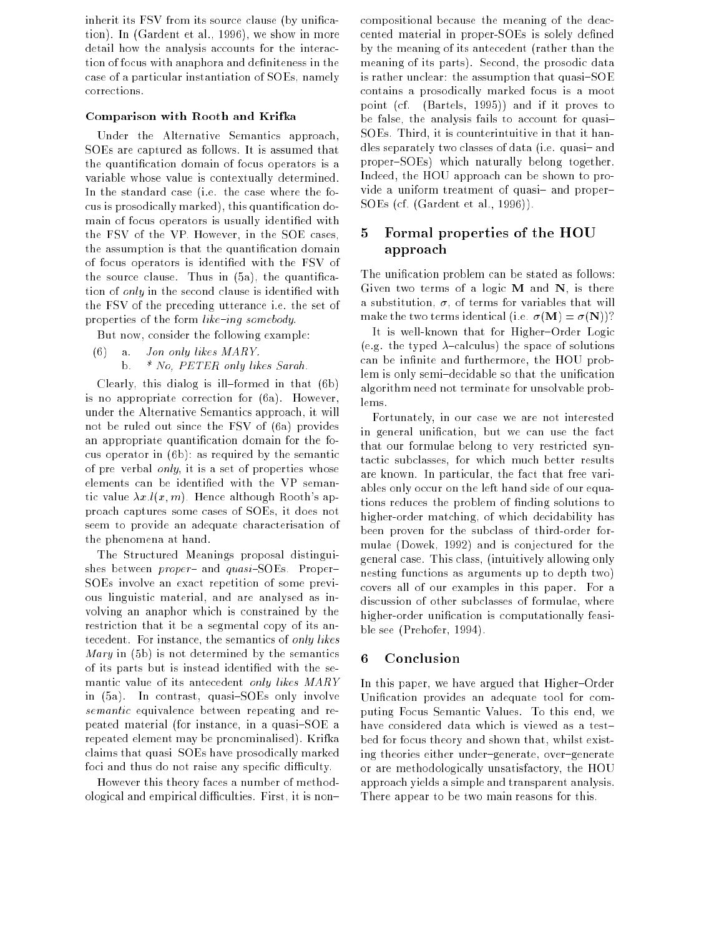inherit its FSV from its source clause (by unification). In (Gardent et al., 1996), we show in more detail how the analysis accounts for the interaction of focus with anaphora and definiteness in the case of a particular instantiation of SOEs, namely corrections.

#### Comparison with Rooth and Krifka

Under the Alternative Semantics approach, SOEs are captured as follows. It is assumed that the quantication domain of focus operators is a variable whose value is contextually determined. In the standard case (i.e. the case where the focus is prosodically marked), this quantication domain of focus operators is usually identified with the FSV of the VP. However, in the SOE cases, the assumption is that the quantication domain of focus operators is identied with the FSV of the source clause. Thus in  $(5a)$ , the quantification of only in the second clause is identified with the FSV of the preceding utterance i.e. the set of properties of the form  $like$ -ing somebody.

But now, consider the following example:

(6) a. Jon only likes MARY. b.  $*$  No, PETER only likes Sarah.

Clearly, this dialog is ill-formed in that  $(6b)$ is no appropriate correction for (6a). However, under the Alternative Semantics approach, it will not be ruled out since the FSV of (6a) provides an appropriate quantication domain for the focus operator in (6b): as required by the semantic of pre-verbal only, it is a set of properties whose elements can be identied with the VP semantic value  $\lambda x.l(x, m)$ . Hence although Rooth's approach captures some cases of SOEs, it does not seem to provide an adequate characterisation of the phenomena at hand.

The Structured Meanings proposal distinguishes between *proper*- and *quasi*-SOEs. Proper-SOEs involve an exact repetition of some previous linguistic material, and are analysed as involving an anaphor which is constrained by the restriction that it be a segmental copy of its antecedent. For instance, the semantics of only likes Mary in (5b) is not determined by the semantics of its parts but is instead identied with the semantic value of its antecedent only likes MARY in  $(5a)$ . In contrast, quasi-SOEs only involve semantic equivalence between repeating and repeated material (for instance, in a quasi- $SOE$  a repeated element may be pronominalised). Krifka claims that quasi-SOEs have prosodically marked foci and thus do not raise any specific difficulty.

However this theory faces a number of methodological and empirical difficulties. First, it is noncompositional because the meaning of the deaccented material in proper-SOEs is solely defined by the meaning of its antecedent (rather than the meaning of its parts). Second, the prosodic data is rather unclear: the assumption that quasi- $SOE$ contains a prosodically marked focus is a moot point (cf. (Bartels, 1995)) and if it proves to be false, the analysis fails to account for quasi-SOEs. Third, it is counterintuitive in that it handles separately two classes of data (i.e. quasi- and proper-SOEs) which naturally belong together. Indeed, the HOU approach can be shown to provide a uniform treatment of quasi- and proper-SOEs (cf. (Gardent et al., 1996)).

# 5 Formal properties of the HOU approach

The unification problem can be stated as follows: Given two terms of a logic  $M$  and  $N$ , is there a substitution,  $\sigma$ , of terms for variables that will make the two terms identical (i.e.  $\sigma(\mathbf{M}) = \sigma(\mathbf{N})$ )?

It is well-known that for Higher-Order Logic (e.g. the typed  $\lambda$ -calculus) the space of solutions can be infinite and furthermore, the HOU problem is only semi-decidable so that the unification algorithm need not terminate for unsolvable problems.

Fortunately, in our case we are not interested in general unication, but we can use the fact that our formulae belong to very restricted syntactic subclasses, for which much better results are known. In particular, the fact that free variables only occur on the left hand side of our equations reduces the problem of finding solutions to higher-order matching, of which decidability has been proven for the subclass of third-order formulae (Dowek, 1992) and is conjectured for the general case. This class, (intuitively allowing only nesting functions as arguments up to depth two) covers all of our examples in this paper. For a discussion of other subclasses of formulae, where higher-order unication is computationally feasible see (Prehofer, 1994).

### 6 Conclusion

In this paper, we have argued that Higher-Order Unification provides an adequate tool for computing Focus Semantic Values. To this end, we have considered data which is viewed as a testbed for focus theory and shown that, whilst existing theories either under-generate, over-generate or are methodologically unsatisfactory, the HOU approach yields a simple and transparent analysis. There appear to be two main reasons for this.